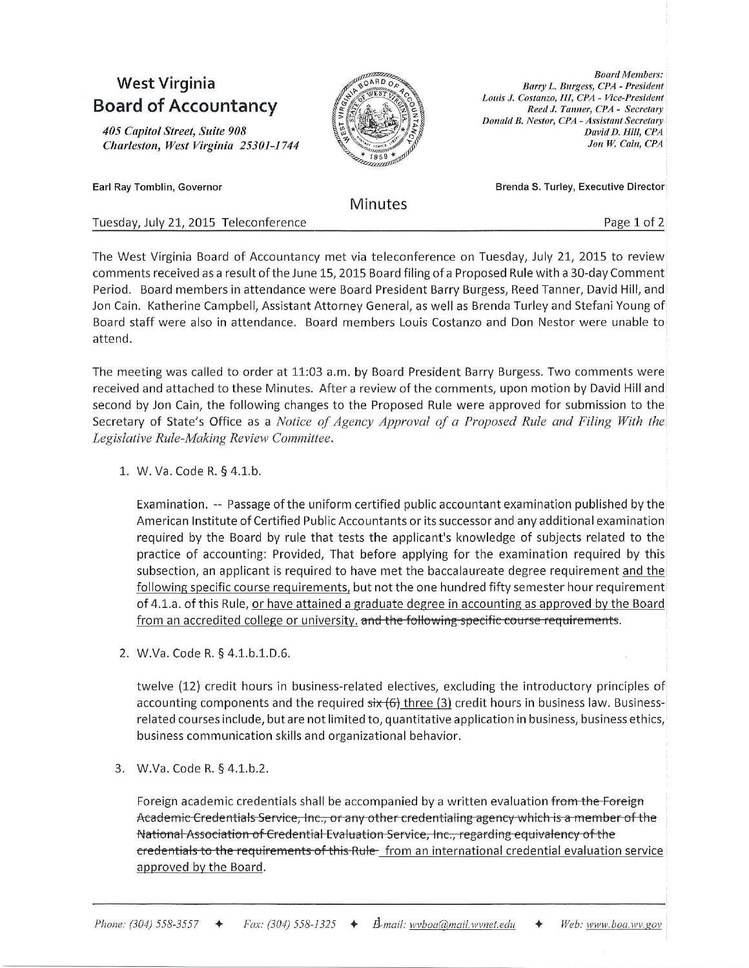## West Virginia **Board of Accountancy**

405 Capitol Street, Suite 908 Charleston, West Virginia 25301-1744



**Board Members:** Barry L. Burgess, CPA - President Louis J. Costanzo, III, CPA - Vice-President Reed J. Tanner, CPA - Secretary Donald B. Nestor, CPA - Assistant Secretary David D. Hill, CPA Jon W. Cain, CPA

Earl Ray Tomblin, Governor

Minutes

Brenda S. Turley, Executive Director

Tuesday, July 21, 2015 Teleconference Page 1 of 2

The West Virginia Board of Accountancy met via teleconference on Tuesday, July 2L, 2015 to review comments received as a result of the June 15, 2015 Board filing of a Proposed Rule with a 30-day Comment Period. Board members in attendance were Board President Barry Burgess, Reed Tanner, David Hill, and Jon Cain. Katherine Campbell, Assistant Attorney General, as well as Brenda Turley and Stefani Young of Board staff were also in attendance. Board members Louis Costanzo and Don Nestor were unable to attend.

The meeting was called to order at 11:03 a.m. by Board President Barry Burgess. Two comments were received and attached to these Minutes. After a review of the comments, upon motion by David Hill and second by Jon Cain, the following changes to the Proposed Rule were approved for submission to the Secretary of State's Office as a Notice of Agency Approval of a Proposed Rule and Filing With the Legislative Rule-Making Review Committee.

1. W. Va. Code R. § 4.1.b.

Examination. -- Passage ofthe uniform certified public accountant examination published by the American Institute of Certified Public Accountants or its successor and any additional examination required by the Board by rule that tests the applicant's knowledge of subjects related to the practice of accounting: Provided, That before applying for the examination required by this subsection, an applicant is required to have met the baccalaureate degree requirement and the following specific course requirements, but not the one hundred fifty semester hour requirement of 4.1.a. of this Rule, or have attained a graduate degree in accounting as approved by the Board from an accredited college or university. and the following specific course requirements.

2. W.Va. Code R. § 4.1.b.1.D.6.

twelve (12) credit hours in business-related electives, excluding the introductory principles of accounting components and the required  $\frac{\sin(6)}{\sin(6)}$  three (3) credit hours in business law. Businessrelated courses include, but are not limited to, quantitative application in business, business ethics, business communication skills and orpanizational behavior.

3. W.Va. Code R. § 4.1.b.2.

Foreign academic credentials shall be accompanied by a written evaluation from the Foreign Academic Credentials Service, Inc., or any other credentialing agency which is a member of the National Association of Credential Evaluation Service, Inc., regarding equivalency of the eredentials to the requirements of this Rule-from an international credential evaluation service approved by the Board.